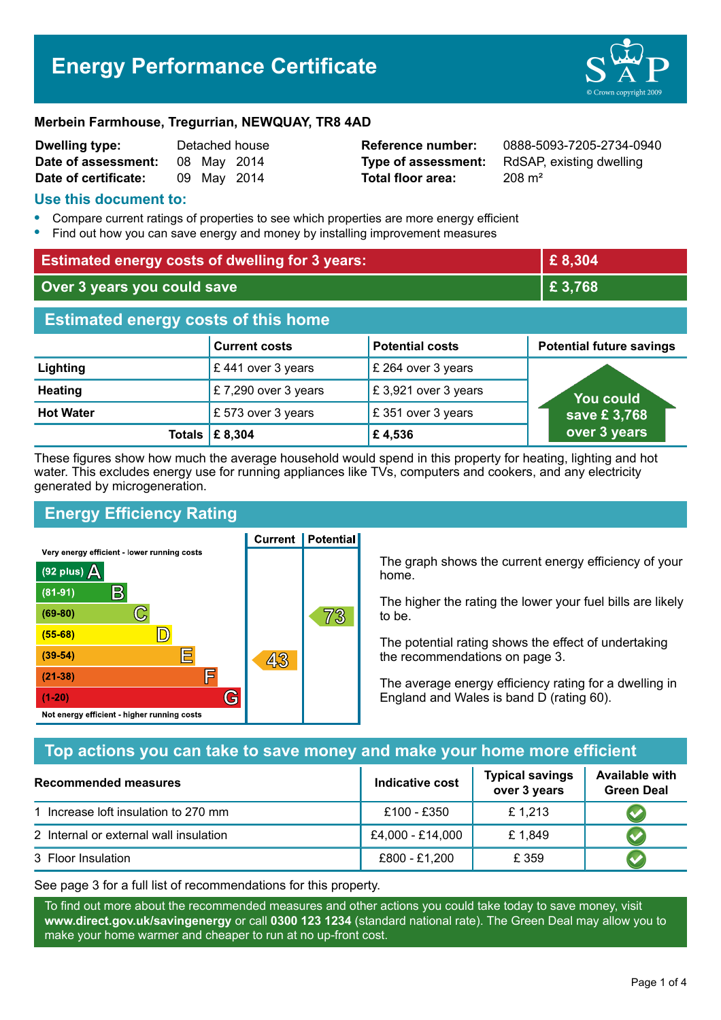# **Energy Performance Certificate**



#### **Merbein Farmhouse, Tregurrian, NEWQUAY, TR8 4AD**

| Dwelling type:       | Detached house |             |  |
|----------------------|----------------|-------------|--|
| Date of assessment:  |                | 08 May 2014 |  |
| Date of certificate: |                | 09 May 2014 |  |

**Total floor area:** 208 m<sup>2</sup>

**Reference number:** 0888-5093-7205-2734-0940 **Type of assessment:** RdSAP, existing dwelling

#### **Use this document to:**

- **•** Compare current ratings of properties to see which properties are more energy efficient
- **•** Find out how you can save energy and money by installing improvement measures

| <b>Estimated energy costs of dwelling for 3 years:</b> |                           | £8,304                 |                                 |  |
|--------------------------------------------------------|---------------------------|------------------------|---------------------------------|--|
| Over 3 years you could save                            |                           | £ 3,768                |                                 |  |
| <b>Estimated energy costs of this home</b>             |                           |                        |                                 |  |
|                                                        | <b>Current costs</b>      | <b>Potential costs</b> | <b>Potential future savings</b> |  |
| Lighting                                               | £441 over 3 years         | £ 264 over 3 years     |                                 |  |
| <b>Heating</b>                                         | £7,290 over 3 years       | £3,921 over 3 years    | <b>You could</b>                |  |
| <b>Hot Water</b>                                       | £573 over 3 years         | £351 over 3 years      | save £3,768                     |  |
|                                                        | Totals $\mathsf{E}$ 8,304 | £4,536                 | over 3 years                    |  |

These figures show how much the average household would spend in this property for heating, lighting and hot water. This excludes energy use for running appliances like TVs, computers and cookers, and any electricity generated by microgeneration.

# **Energy Efficiency Rating**

Very energy efficient - lower running costs



**Current | Potential** 

The graph shows the current energy efficiency of your home.

The higher the rating the lower your fuel bills are likely to be.

The potential rating shows the effect of undertaking the recommendations on page 3.

The average energy efficiency rating for a dwelling in England and Wales is band D (rating 60).

# **Top actions you can take to save money and make your home more efficient**

| Recommended measures                   | Indicative cost  | <b>Typical savings</b><br>over 3 years | <b>Available with</b><br><b>Green Deal</b> |
|----------------------------------------|------------------|----------------------------------------|--------------------------------------------|
| 1 Increase loft insulation to 270 mm   | £100 - £350      | £1,213                                 |                                            |
| 2 Internal or external wall insulation | £4,000 - £14,000 | £1,849                                 |                                            |
| 3 Floor Insulation                     | £800 - £1,200    | £ 359                                  |                                            |

See page 3 for a full list of recommendations for this property.

To find out more about the recommended measures and other actions you could take today to save money, visit **www.direct.gov.uk/savingenergy** or call **0300 123 1234** (standard national rate). The Green Deal may allow you to make your home warmer and cheaper to run at no up-front cost.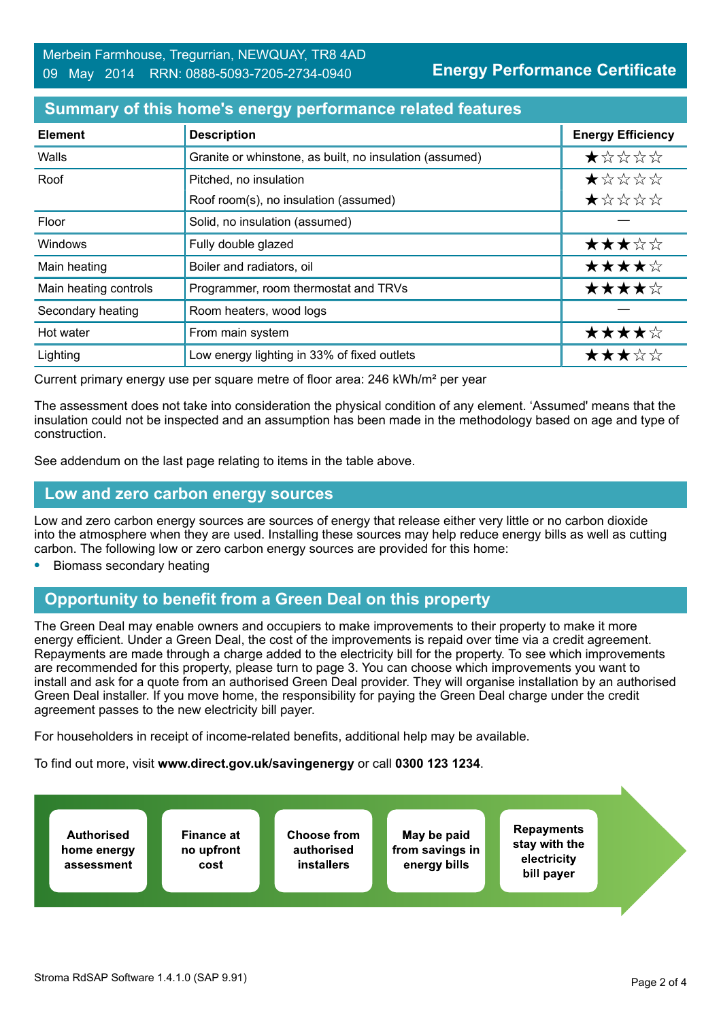#### **Summary of this home's energy performance related features**

| <b>Element</b>        | <b>Description</b>                                      | <b>Energy Efficiency</b> |
|-----------------------|---------------------------------------------------------|--------------------------|
| Walls                 | Granite or whinstone, as built, no insulation (assumed) | *****                    |
| Roof                  | Pitched, no insulation                                  | *****                    |
|                       | Roof room(s), no insulation (assumed)                   | ★☆☆☆☆                    |
| Floor                 | Solid, no insulation (assumed)                          |                          |
| Windows               | Fully double glazed                                     | ★★★☆☆                    |
| Main heating          | Boiler and radiators, oil                               | ★★★★☆                    |
| Main heating controls | Programmer, room thermostat and TRVs                    | ★★★★☆                    |
| Secondary heating     | Room heaters, wood logs                                 |                          |
| Hot water             | From main system                                        | ★★★★☆                    |
| Lighting              | Low energy lighting in 33% of fixed outlets             | ★★★☆☆                    |

Current primary energy use per square metre of floor area: 246 kWh/m² per year

The assessment does not take into consideration the physical condition of any element. 'Assumed' means that the insulation could not be inspected and an assumption has been made in the methodology based on age and type of construction.

See addendum on the last page relating to items in the table above.

#### **Low and zero carbon energy sources**

Low and zero carbon energy sources are sources of energy that release either very little or no carbon dioxide into the atmosphere when they are used. Installing these sources may help reduce energy bills as well as cutting carbon. The following low or zero carbon energy sources are provided for this home:

**•** Biomass secondary heating

## **Opportunity to benefit from a Green Deal on this property**

The Green Deal may enable owners and occupiers to make improvements to their property to make it more energy efficient. Under a Green Deal, the cost of the improvements is repaid over time via a credit agreement. Repayments are made through a charge added to the electricity bill for the property. To see which improvements are recommended for this property, please turn to page 3. You can choose which improvements you want to install and ask for a quote from an authorised Green Deal provider. They will organise installation by an authorised Green Deal installer. If you move home, the responsibility for paying the Green Deal charge under the credit agreement passes to the new electricity bill payer.

For householders in receipt of income-related benefits, additional help may be available.

To find out more, visit **www.direct.gov.uk/savingenergy** or call **0300 123 1234**.

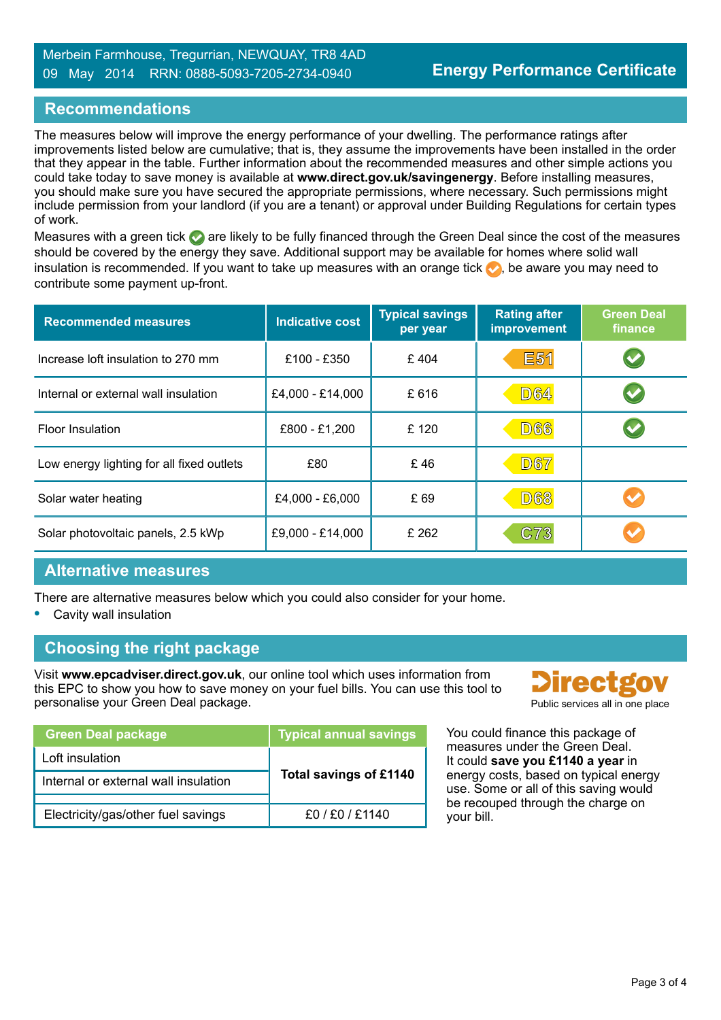## **Recommendations**

The measures below will improve the energy performance of your dwelling. The performance ratings after improvements listed below are cumulative; that is, they assume the improvements have been installed in the order that they appear in the table. Further information about the recommended measures and other simple actions you could take today to save money is available at **www.direct.gov.uk/savingenergy**. Before installing measures, you should make sure you have secured the appropriate permissions, where necessary. Such permissions might include permission from your landlord (if you are a tenant) or approval under Building Regulations for certain types of work.

Measures with a green tick are likely to be fully financed through the Green Deal since the cost of the measures should be covered by the energy they save. Additional support may be available for homes where solid wall insulation is recommended. If you want to take up measures with an orange tick  $\bullet$ , be aware you may need to contribute some payment up-front.

| <b>Recommended measures</b>               | <b>Indicative cost</b> | <b>Typical savings</b><br>per year | <b>Rating after</b><br><b>improvement</b> | <b>Green Deal</b><br>finance |
|-------------------------------------------|------------------------|------------------------------------|-------------------------------------------|------------------------------|
| Increase loft insulation to 270 mm        | £100 - £350            | £404                               | <b>E51</b>                                |                              |
| Internal or external wall insulation      | £4,000 - £14,000       | £616                               | <b>D64</b>                                |                              |
| <b>Floor Insulation</b>                   | £800 - £1,200          | £120                               | <b>D66</b>                                |                              |
| Low energy lighting for all fixed outlets | £80                    | £46                                | <b>D67</b>                                |                              |
| Solar water heating                       | £4,000 - £6,000        | £69                                | <b>D68</b>                                |                              |
| Solar photovoltaic panels, 2.5 kWp        | £9,000 - £14,000       | £ 262                              | C73                                       |                              |

#### **Alternative measures**

There are alternative measures below which you could also consider for your home.

**•** Cavity wall insulation

## **Choosing the right package**

Visit **www.epcadviser.direct.gov.uk**, our online tool which uses information from this EPC to show you how to save money on your fuel bills. You can use this tool to personalise your Green Deal package. Public services all in one place

| <b>Green Deal package</b>            | <b>Typical annual savings</b> |  |
|--------------------------------------|-------------------------------|--|
| Loft insulation                      |                               |  |
| Internal or external wall insulation | Total savings of £1140        |  |
|                                      |                               |  |
| Electricity/gas/other fuel savings   | f0/F0/F1140                   |  |



You could finance this package of measures under the Green Deal. It could **save you £1140 a year** in energy costs, based on typical energy use. Some or all of this saving would be recouped through the charge on your bill.